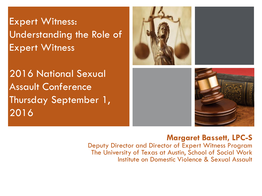**+** Expert Witness: Understanding the Role of Expert Witness

2016 National Sexual Assault Conference Thursday September 1, 2016





#### **Margaret Bassett, LPC-S**

Deputy Director and Director of Expert Witness Program The University of Texas at Austin, School of Social Work Institute on Domestic Violence & Sexual Assault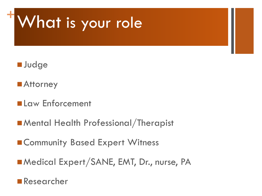# **<sup>+</sup>**What is your role



- ■Attorney
- **Law Enforcement**
- **Mental Health Professional/Therapist**
- **ECommunity Based Expert Witness**
- **Medical Expert/SANE, EMT, Dr., nurse, PA**
- **Researcher**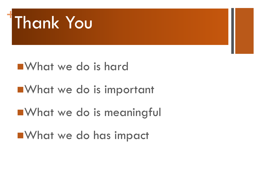

# What we do is hard **NATA WE do is important Not we do is meaningful**

**Not we do has impact**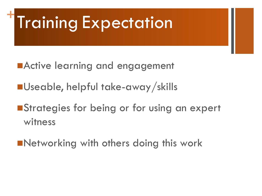## **+** Training Expectation

- **MActive learning and engagement**
- ■Useable, helpful take-away/skills
- **Strategies for being or for using an expert** witness
- **Networking with others doing this work**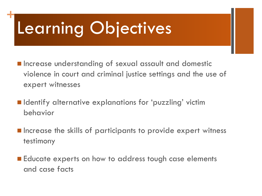# Learning Objectives

**+**

- **Increase understanding of sexual assault and domestic** violence in court and criminal justice settings and the use of expert witnesses
- **In** Identify alternative explanations for 'puzzling' victim behavior
- **E** Increase the skills of participants to provide expert witness testimony
- Educate experts on how to address tough case elements and case facts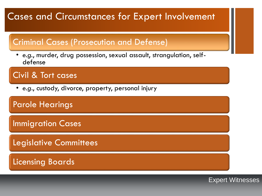### **Cases and Circumstances for Expert Involvement**

#### Criminal Cases (Prosecution and Defense)

• *e.g.*, murder, drug possession, sexual assault, strangulation, selfdefense

#### Civil & Tort cases

• *e.g*., custody, divorce, property, personal injury

#### Parole Hearings

**Immigration Cases** 

Legislative Committees

Licensing Boards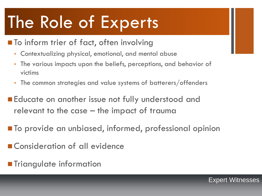## **+** The Role of Experts

- **The** To inform trier of fact, often involving
	- Contextualizing physical, emotional, and mental abuse
	- The various impacts upon the beliefs, perceptions, and behavior of victims
	- The common strategies and value systems of batterers/offenders
- **Educate on another issue not fully understood and** relevant to the case – the impact of trauma
- To provide an unbiased, informed, professional opinion
- Consideration of all evidence
- **Triangulate information**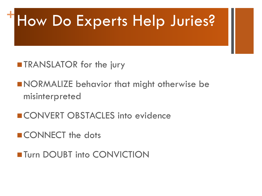## **<sup>+</sup>**How Do Experts Help Juries?

- **TRANSLATOR for the jury**
- **NORMALIZE behavior that might otherwise be** misinterpreted
- CONVERT OBSTACLES into evidence
- CONNECT the dots
- **Turn DOUBT into CONVICTION**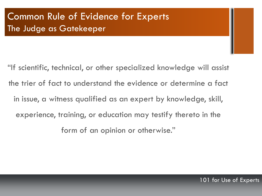## **+** Common Rule of Evidence for Experts The Judge as Gatekeeper

"If scientific, technical, or other specialized knowledge will assist the trier of fact to understand the evidence or determine a fact in issue, a witness qualified as an expert by knowledge, skill, experience, training, or education may testify thereto in the form of an opinion or otherwise."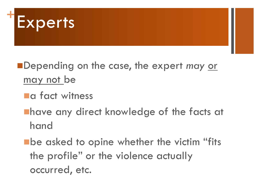

- Depending on the case, the expert *may* or may not be
	- **La fact witness**
	- **Thave any direct knowledge of the facts at** hand
	- **Ebe asked to opine whether the victim "fits** the profile" or the violence actually occurred, etc.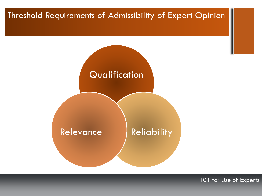## **+** Threshold Requirements of Admissibility of Expert Opinion



101 for Use of Experts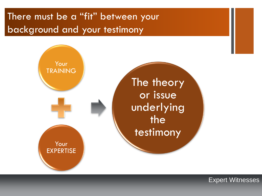## There must be a "fit" between your background and your testimony

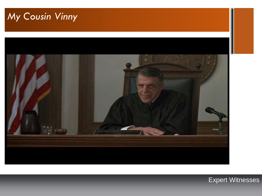## **+***My Cousin Vinny*

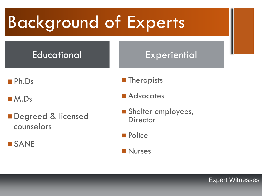## **+** Background of Experts

## Educational Reserves Experiential

■Ph.Ds

■ M.Ds

Degreed & licensed counselors

**SANE** 

**Therapists** 

Advocates

Shelter employees, **Director** 

**Police** 

**Nurses**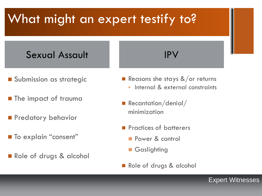#### **+** What might an expert testify to?

## Sexual Assault **IPV**

- **Submission as strategic**
- **The impact of trauma**
- **Predatory behavior**
- **To explain "consent"**
- Role of drugs & alcohol

- Reasons she stays  $&\sqrt{\ }$  or returns
	- Internal & external constraints
- Recantation/denial/ minimization
- **Practices of batterers** 
	- Power & control
	- Gaslighting
- Role of drugs & alcohol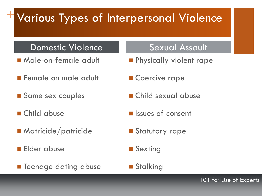## **+**Various Types of Interpersonal Violence

#### Domestic Violence **Sexual Assault**

- Male-on-female adult
- **Female on male adult**
- Same sex couples
- Child abuse
- Matricide/patricide
- **Elder abuse**
- **Teenage dating abuse**

- **Physically violent rape**
- Coercive rape
- Child sexual abuse
- *Issues* of consent
- **Statutory rape**
- **Sexting**
- **Stalking**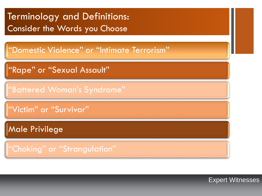### **+**Terminology and Definitions: Consider the Words you Choose

"Domestic Violence" or "Intimate Terrorism"

"Rape" or "Sexual Assault"

"Battered Woman's Syndrome"

"Victim" or "Survivor"

Male Privilege

"Choking" or "Strangulation"

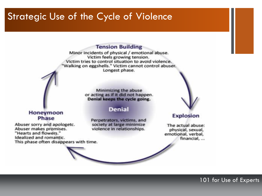#### Strategic Use of the Cycle of Violence

#### **Tension Building**

Minor incidents of physical / emotional abuse. Victim feels growing tension. Victim tries to control situation to avoid violence. "Walking on eggshells." Victim cannot control abuser. Longest phase.

> Minimizing the abuse or acting as if it did not happen. Denial keeps the cycle going.

#### **Denial**

Perpetrators, victims, and society at large minimize violence in relationships.



**Explosion** 

The actual abuse: physical, sexual, emotional, verbal, financial, ...

#### Honeymoon Phase

Abuser sorry and apologetc. Abuser makes promises. "Hearts and flowers." Idealized and romantic. This phase often disappears with time.

#### 101 for Use of Experts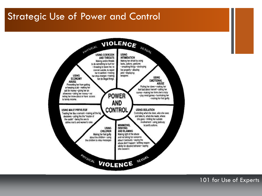### **Strategic Use of Power and Control**



101 for Use of Experts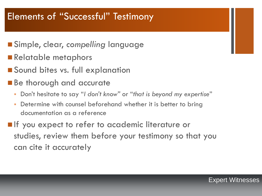## **+** Elements of "Successful" Testimony

- Simple, clear, *compelling* language
- Relatable metaphors
- Sound bites vs. full explanation
- Be thorough and accurate
	- Don't hesitate to say "*I don't know"* or "*that is beyond my expertise*"
	- Determine with counsel beforehand whether it is better to bring documentation as a reference
- **If** you expect to refer to academic literature or studies, review them before your testimony so that you can cite it accurately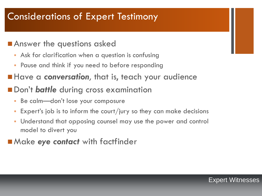## **+** Considerations of Expert Testimony

#### **Answer the questions asked**

- Ask for clarification when a question is confusing
- Pause and think if you need to before responding
- **Have a conversation**, that is, teach your audience
- **Don't battle** during cross examination
	- Be calm—don't lose your composure
	- Expert's job is to inform the court/jury so they can make decisions
	- Understand that opposing counsel may use the power and control model to divert you
- Make eye contact with factfinder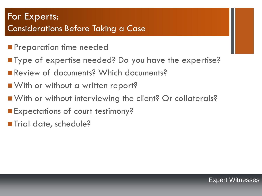## **+** For Experts: Considerations Before Taking a Case

- **Preparation time needed**
- Type of expertise needed? Do you have the expertise?
- Review of documents? Which documents?
- With or without a written report?
- With or without interviewing the client? Or collaterals?
- **Expectations of court testimony?**
- Trial date, schedule?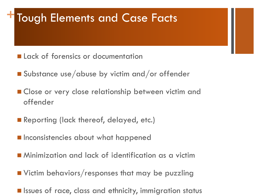## **Tough Elements and Case Facts**

- **Lack of forensics or documentation**
- Substance use/abuse by victim and/or offender
- **Close or very close relationship between victim and** offender
- Reporting (lack thereof, delayed, etc.)
- $\blacksquare$  Inconsistencies about what happened
- Minimization and lack of identification as a victim
- **Notain behaviors/responses that may be puzzling**
- **E** Issues of race, class and ethnicity, immigration status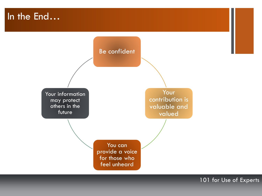### **+**In the End…



101 for Use of Experts